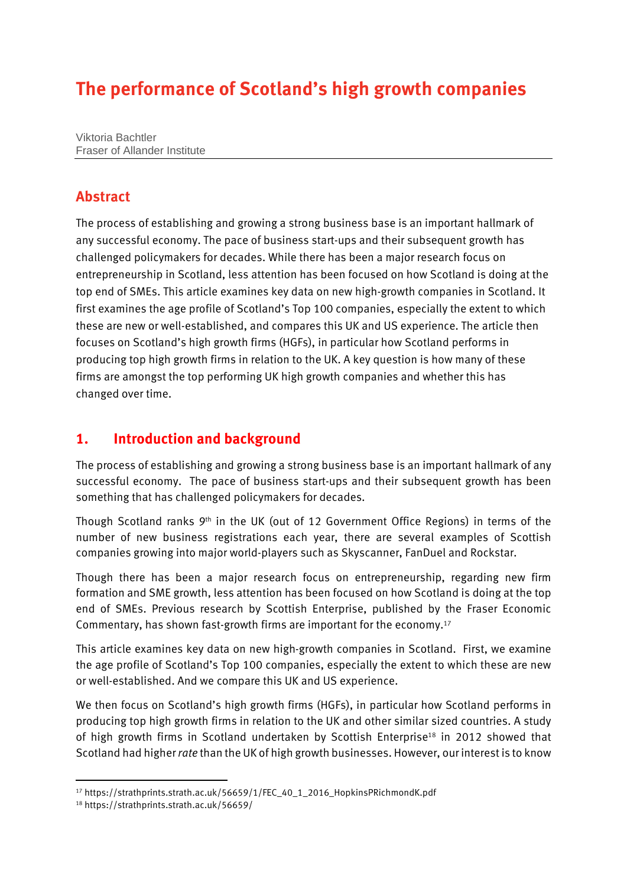# **The performance of Scotland's high growth companies**

Viktoria Bachtler Fraser of Allander Institute

### **Abstract**

The process of establishing and growing a strong business base is an important hallmark of any successful economy. The pace of business start-ups and their subsequent growth has challenged policymakers for decades. While there has been a major research focus on entrepreneurship in Scotland, less attention has been focused on how Scotland is doing at the top end of SMEs. This article examines key data on new high-growth companies in Scotland. It first examines the age profile of Scotland's Top 100 companies, especially the extent to which these are new or well-established, and compares this UK and US experience. The article then focuses on Scotland's high growth firms (HGFs), in particular how Scotland performs in producing top high growth firms in relation to the UK. A key question is how many of these firms are amongst the top performing UK high growth companies and whether this has changed over time.

#### **1. Introduction and background**

The process of establishing and growing a strong business base is an important hallmark of any successful economy. The pace of business start-ups and their subsequent growth has been something that has challenged policymakers for decades.

Though Scotland ranks 9th in the UK (out of 12 Government Office Regions) in terms of the number of new business registrations each year, there are several examples of Scottish companies growing into major world-players such as Skyscanner, FanDuel and Rockstar.

Though there has been a major research focus on entrepreneurship, regarding new firm formation and SME growth, less attention has been focused on how Scotland is doing at the top end of SMEs. Previous research by Scottish Enterprise, published by the Fraser Economic Commentary, has shown fast-growth firms are important for the economy.<sup>17</sup>

This article examines key data on new high-growth companies in Scotland. First, we examine the age profile of Scotland's Top 100 companies, especially the extent to which these are new or well-established. And we compare this UK and US experience.

We then focus on Scotland's high growth firms (HGFs), in particular how Scotland performs in producing top high growth firms in relation to the UK and other similar sized countries. A study of high growth firms in Scotland undertaken by Scottish Enterprise<sup>18</sup> in 2012 showed that Scotland had higher*rate* than the UK of high growth businesses. However, our interest is to know

<sup>17</sup> [https://strathprints.strath.ac.uk/56659/1/FEC\\_40\\_1\\_2016\\_HopkinsPRichmondK.pdf](https://strathprints.strath.ac.uk/56659/1/FEC_40_1_2016_HopkinsPRichmondK.pdf)

<sup>18</sup> https://strathprints.strath.ac.uk/56659/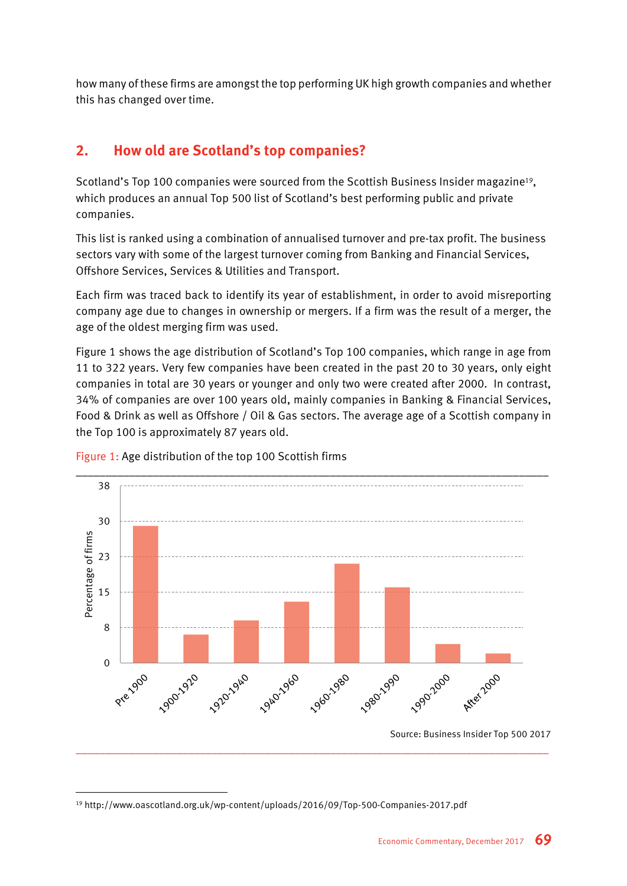how many of these firms are amongst the top performing UK high growth companies and whether this has changed over time.

# **2. How old are Scotland's top companies?**

Scotland's Top 100 companies were sourced from the Scottish Business Insider magazine<sup>19</sup>, which produces an annual Top 500 list of Scotland's best performing public and private companies.

This list is ranked using a combination of annualised turnover and pre-tax profit. The business sectors vary with some of the largest turnover coming from Banking and Financial Services, Offshore Services, Services & Utilities and Transport.

Each firm was traced back to identify its year of establishment, in order to avoid misreporting company age due to changes in ownership or mergers. If a firm was the result of a merger, the age of the oldest merging firm was used.

Figure 1 shows the age distribution of Scotland's Top 100 companies, which range in age from 11 to 322 years. Very few companies have been created in the past 20 to 30 years, only eight companies in total are 30 years or younger and only two were created after 2000. In contrast, 34% of companies are over 100 years old, mainly companies in Banking & Financial Services, Food & Drink as well as Offshore / Oil & Gas sectors. The average age of a Scottish company in the Top 100 is approximately 87 years old.



\_\_\_\_\_\_\_\_\_\_\_\_\_\_\_\_\_\_\_\_\_\_\_\_\_\_\_\_\_\_\_\_\_\_\_\_\_\_\_\_\_\_\_\_\_\_\_\_\_\_\_\_\_\_\_\_\_\_\_\_\_\_\_\_\_\_\_\_\_\_\_\_\_\_\_\_\_\_\_\_

Figure 1: Age distribution of the top 100 Scottish firms

Source: Business Insider Top 500 2017

<sup>19</sup> http://www.oascotland.org.uk/wp-content/uploads/2016/09/Top-500-Companies-2017.pdf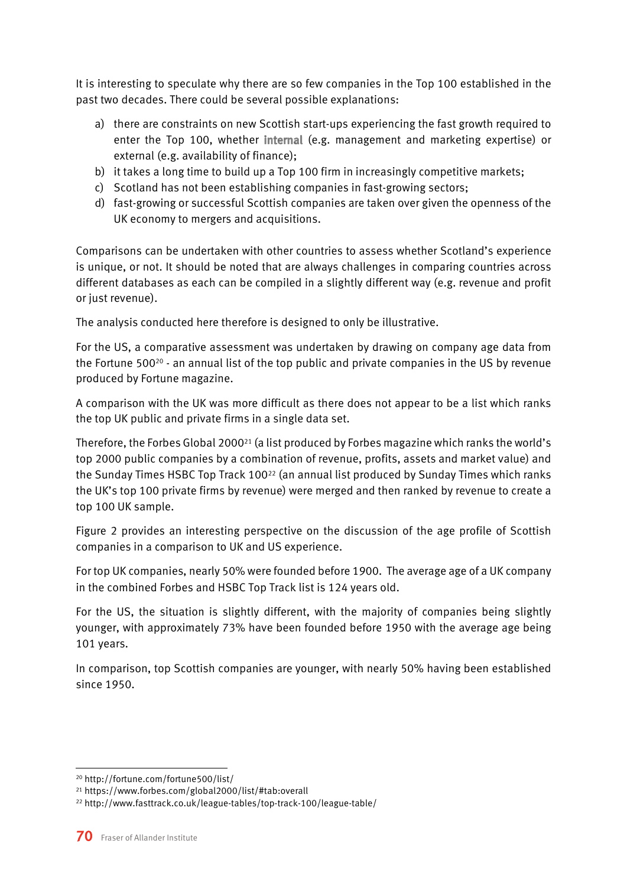It is interesting to speculate why there are so few companies in the Top 100 established in the past two decades. There could be several possible explanations:

- a) there are constraints on new Scottish start-ups experiencing the fast growth required to enter the Top 100, whether internal (e.g. management and marketing expertise) or external (e.g. availability of finance);
- b) it takes a long time to build up a Top 100 firm in increasingly competitive markets;
- c) Scotland has not been establishing companies in fast-growing sectors;
- d) fast-growing or successful Scottish companies are taken over given the openness of the UK economy to mergers and acquisitions.

Comparisons can be undertaken with other countries to assess whether Scotland's experience is unique, or not. It should be noted that are always challenges in comparing countries across different databases as each can be compiled in a slightly different way (e.g. revenue and profit or just revenue).

The analysis conducted here therefore is designed to only be illustrative.

For the US, a comparative assessment was undertaken by drawing on company age data from the Fortune 500 $20 - 3$  an annual list of the top public and private companies in the US by revenue produced by Fortune magazine.

A comparison with the UK was more difficult as there does not appear to be a list which ranks the top UK public and private firms in a single data set.

Therefore, the Forbes Global 2000<sup>21</sup> (a list produced by Forbes magazine which ranks the world's top 2000 public companies by a combination of revenue, profits, assets and market value) and the Sunday Times HSBC Top Track 100<sup>22</sup> (an annual list produced by Sunday Times which ranks the UK's top 100 private firms by revenue) were merged and then ranked by revenue to create a top 100 UK sample.

Figure 2 provides an interesting perspective on the discussion of the age profile of Scottish companies in a comparison to UK and US experience.

For top UK companies, nearly 50% were founded before 1900. The average age of a UK company in the combined Forbes and HSBC Top Track list is 124 years old.

For the US, the situation is slightly different, with the majority of companies being slightly younger, with approximately 73% have been founded before 1950 with the average age being 101 years.

In comparison, top Scottish companies are younger, with nearly 50% having been established since 1950.



<sup>20</sup> <http://fortune.com/fortune500/list/>

<sup>21</sup> <https://www.forbes.com/global2000/list/#tab:overall>

<sup>22</sup> <http://www.fasttrack.co.uk/league-tables/top-track-100/league-table/>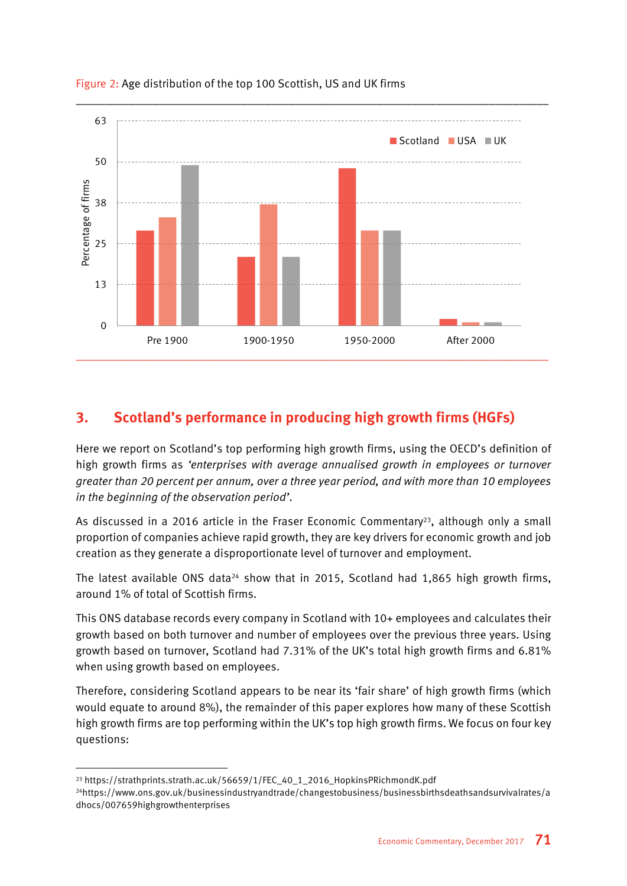

#### Figure 2: Age distribution of the top 100 Scottish, US and UK firms

## **3. Scotland's performance in producing high growth firms (HGFs)**

Here we report on Scotland's top performing high growth firms, using the OECD's definition of high growth firms as *'enterprises with average annualised growth in employees or turnover greater than 20 percent per annum, over a three year period, and with more than 10 employees in the beginning of the observation period'*.

As discussed in a 2016 article in the Fraser Economic Commentary<sup>23</sup>, although only a small proportion of companies achieve rapid growth, they are key drivers for economic growth and job creation as they generate a disproportionate level of turnover and employment.

The latest available ONS data<sup>24</sup> show that in 2015, Scotland had 1,865 high growth firms, around 1% of total of Scottish firms.

This ONS database records every company in Scotland with 10+ employees and calculates their growth based on both turnover and number of employees over the previous three years. Using growth based on turnover, Scotland had 7.31% of the UK's total high growth firms and 6.81% when using growth based on employees.

Therefore, considering Scotland appears to be near its 'fair share' of high growth firms (which would equate to around 8%), the remainder of this paper explores how many of these Scottish high growth firms are top performing within the UK's top high growth firms. We focus on four key questions:

<sup>23</sup> [https://strathprints.strath.ac.uk/56659/1/FEC\\_40\\_1\\_2016\\_HopkinsPRichmondK.pdf](https://strathprints.strath.ac.uk/56659/1/FEC_40_1_2016_HopkinsPRichmondK.pdf)

<sup>24</sup>[https://www.ons.gov.uk/businessindustryandtrade/changestobusiness/businessbirthsdeathsandsurvivalrates/a](https://www.ons.gov.uk/businessindustryandtrade/changestobusiness/businessbirthsdeathsandsurvivalrates/adhocs/007659highgrowthenterprises) [dhocs/007659highgrowthenterprises](https://www.ons.gov.uk/businessindustryandtrade/changestobusiness/businessbirthsdeathsandsurvivalrates/adhocs/007659highgrowthenterprises)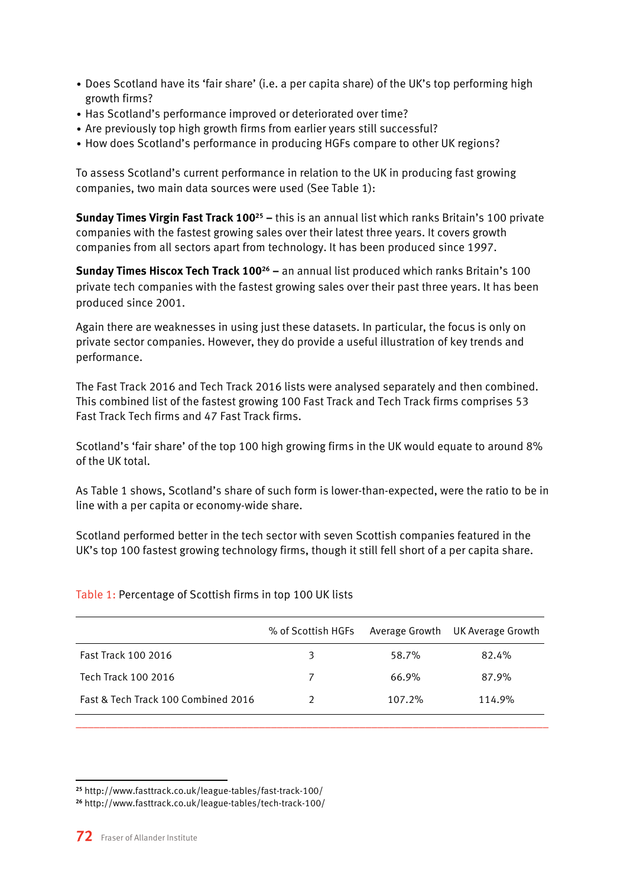- Does Scotland have its 'fair share' (i.e. a per capita share) of the UK's top performing high growth firms?
- Has Scotland's performance improved or deteriorated over time?
- Are previously top high growth firms from earlier years still successful?
- How does Scotland's performance in producing HGFs compare to other UK regions?

To assess Scotland's current performance in relation to the UK in producing fast growing companies, two main data sources were used (See Table 1):

**Sunday Times Virgin Fast Track 100<sup>25</sup> –** this is an annual list which ranks Britain's 100 private companies with the fastest growing sales over their latest three years. It covers growth companies from all sectors apart from technology. It has been produced since 1997.

**Sunday Times Hiscox Tech Track 100<sup>26</sup> –** an annual list produced which ranks Britain's 100 private tech companies with the fastest growing sales over their past three years. It has been produced since 2001.

Again there are weaknesses in using just these datasets. In particular, the focus is only on private sector companies. However, they do provide a useful illustration of key trends and performance.

The Fast Track 2016 and Tech Track 2016 lists were analysed separately and then combined. This combined list of the fastest growing 100 Fast Track and Tech Track firms comprises 53 Fast Track Tech firms and 47 Fast Track firms.

Scotland's 'fair share' of the top 100 high growing firms in the UK would equate to around 8% of the UK total.

As Table 1 shows, Scotland's share of such form is lower-than-expected, were the ratio to be in line with a per capita or economy-wide share.

Scotland performed better in the tech sector with seven Scottish companies featured in the UK's top 100 fastest growing technology firms, though it still fell short of a per capita share.

Table 1: Percentage of Scottish firms in top 100 UK lists

|                                     | % of Scottish HGFs | Average Growth | UK Average Growth |
|-------------------------------------|--------------------|----------------|-------------------|
| Fast Track 100 2016                 | 3                  | 58.7%          | 82.4%             |
| Tech Track 100 2016                 | 7                  | 66.9%          | 87.9%             |
| Fast & Tech Track 100 Combined 2016 | າ                  | 107.2%         | 114.9%            |

\_\_\_\_\_\_\_\_\_\_\_\_\_\_\_\_\_\_\_\_\_\_\_\_\_\_\_\_\_\_\_\_\_\_\_\_\_\_\_\_\_\_\_\_\_\_\_\_\_\_\_\_\_\_\_\_\_\_\_\_\_\_\_\_\_\_\_\_\_\_\_\_\_\_\_\_\_\_\_\_

**<sup>25</sup>** http://www.fasttrack.co.uk/league-tables/fast-track-100/

**<sup>26</sup>** http://www.fasttrack.co.uk/league-tables/tech-track-100/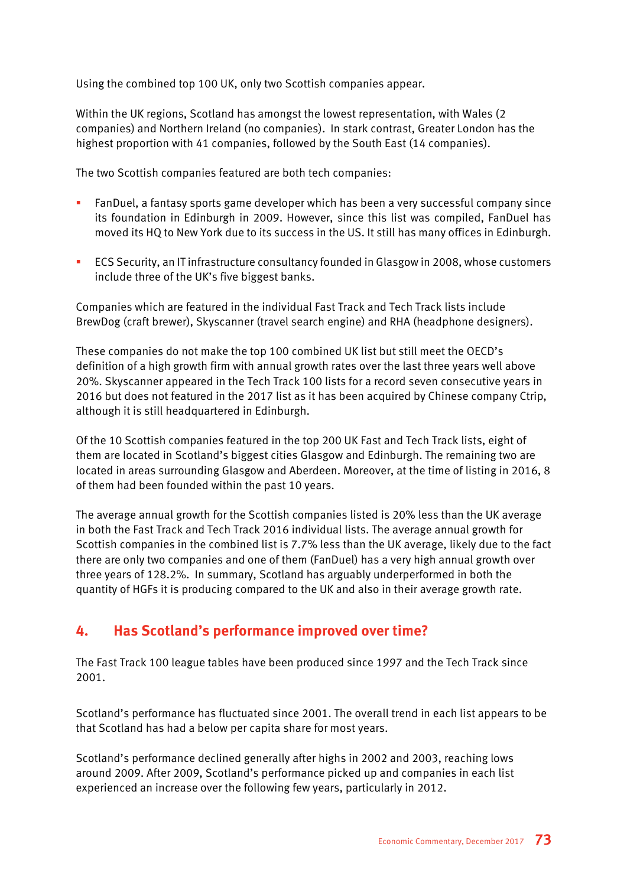Using the combined top 100 UK, only two Scottish companies appear.

Within the UK regions, Scotland has amongst the lowest representation, with Wales (2 companies) and Northern Ireland (no companies). In stark contrast, Greater London has the highest proportion with 41 companies, followed by the South East (14 companies).

The two Scottish companies featured are both tech companies:

- FanDuel, a fantasy sports game developer which has been a very successful company since its foundation in Edinburgh in 2009. However, since this list was compiled, FanDuel has moved its HQ to New York due to its success in the US. It still has many offices in Edinburgh.
- ECS Security, an IT infrastructure consultancy founded in Glasgow in 2008, whose customers include three of the UK's five biggest banks.

Companies which are featured in the individual Fast Track and Tech Track lists include BrewDog (craft brewer), Skyscanner (travel search engine) and RHA (headphone designers).

These companies do not make the top 100 combined UK list but still meet the OECD's definition of a high growth firm with annual growth rates over the last three years well above 20%. Skyscanner appeared in the Tech Track 100 lists for a record seven consecutive years in 2016 but does not featured in the 2017 list as it has been acquired by Chinese company Ctrip, although it is still headquartered in Edinburgh.

Of the 10 Scottish companies featured in the top 200 UK Fast and Tech Track lists, eight of them are located in Scotland's biggest cities Glasgow and Edinburgh. The remaining two are located in areas surrounding Glasgow and Aberdeen. Moreover, at the time of listing in 2016, 8 of them had been founded within the past 10 years.

The average annual growth for the Scottish companies listed is 20% less than the UK average in both the Fast Track and Tech Track 2016 individual lists. The average annual growth for Scottish companies in the combined list is 7.7% less than the UK average, likely due to the fact there are only two companies and one of them (FanDuel) has a very high annual growth over three years of 128.2%. In summary, Scotland has arguably underperformed in both the quantity of HGFs it is producing compared to the UK and also in their average growth rate.

### **4. Has Scotland's performance improved over time?**

The Fast Track 100 league tables have been produced since 1997 and the Tech Track since 2001.

Scotland's performance has fluctuated since 2001. The overall trend in each list appears to be that Scotland has had a below per capita share for most years.

Scotland's performance declined generally after highs in 2002 and 2003, reaching lows around 2009. After 2009, Scotland's performance picked up and companies in each list experienced an increase over the following few years, particularly in 2012.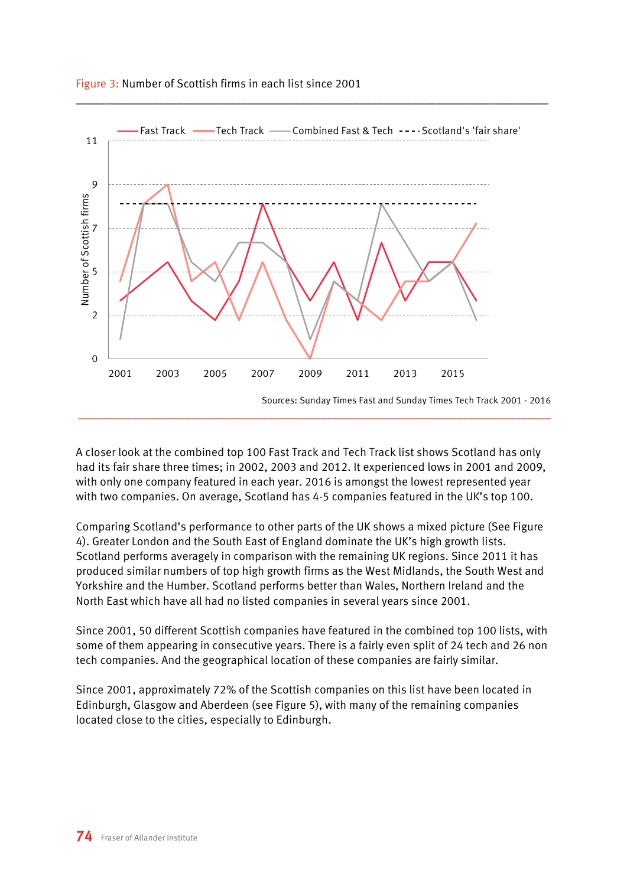

#### Figure 3: Number of Scottish firms in each list since 2001

A closer look at the combined top 100 Fast Track and Tech Track list shows Scotland has only had its fair share three times; in 2002, 2003 and 2012. It experienced lows in 2001 and 2009, with only one company featured in each year. 2016 is amongst the lowest represented year with two companies. On average, Scotland has 4-5 companies featured in the UK's top 100.

Comparing Scotland's performance to other parts of the UK shows a mixed picture (See Figure 4). Greater London and the South East of England dominate the UK's high growth lists. Scotland performs averagely in comparison with the remaining UK regions. Since 2011 it has produced similar numbers of top high growth firms as the West Midlands, the South West and Yorkshire and the Humber. Scotland performs better than Wales, Northern Ireland and the North East which have all had no listed companies in several years since 2001.

Since 2001, 50 different Scottish companies have featured in the combined top 100 lists, with some of them appearing in consecutive years. There is a fairly even split of 24 tech and 26 non tech companies. And the geographical location of these companies are fairly similar.

Since 2001, approximately 72% of the Scottish companies on this list have been located in Edinburgh, Glasgow and Aberdeen (see Figure 5), with many of the remaining companies located close to the cities, especially to Edinburgh.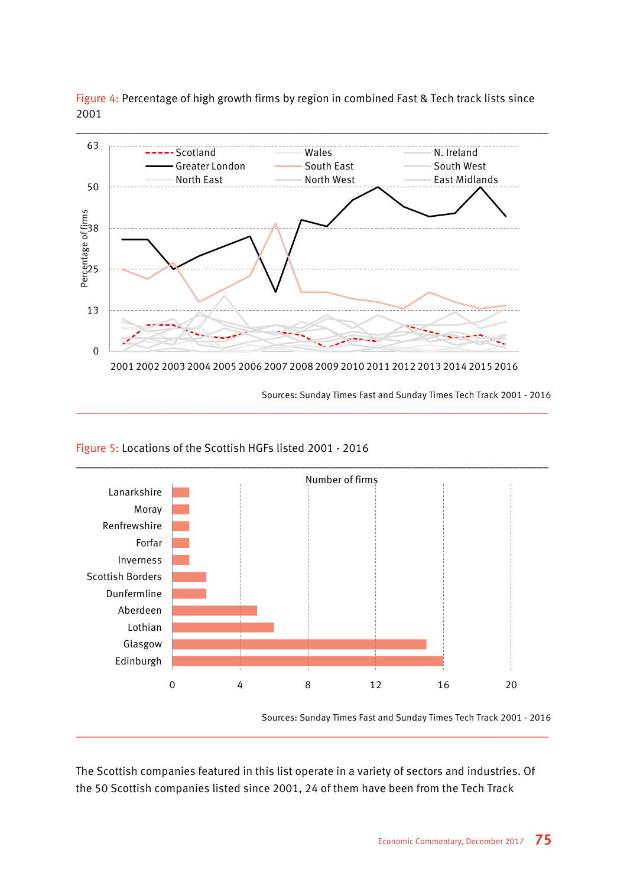Figure 4: Percentage of high growth firms by region in combined Fast & Tech track lists since 2001



\_\_\_\_\_\_\_\_\_\_\_\_\_\_\_\_\_\_\_\_\_\_\_\_\_\_\_\_\_\_\_\_\_\_\_\_\_\_\_\_\_\_\_\_\_\_\_\_\_\_\_\_\_\_\_\_\_\_\_\_\_\_\_\_\_\_\_\_\_\_\_\_\_\_\_\_\_\_\_\_

Sources: Sunday Times Fast and Sunday Times Tech Track 2001 - 2016

#### Figure 5: Locations of the Scottish HGFs listed 2001 - 2016



Sources: Sunday Times Fast and Sunday Times Tech Track 2001 - 2016

The Scottish companies featured in this list operate in a variety of sectors and industries. Of the 50 Scottish companies listed since 2001, 24 of them have been from the Tech Track

\_\_\_\_\_\_\_\_\_\_\_\_\_\_\_\_\_\_\_\_\_\_\_\_\_\_\_\_\_\_\_\_\_\_\_\_\_\_\_\_\_\_\_\_\_\_\_\_\_\_\_\_\_\_\_\_\_\_\_\_\_\_\_\_\_\_\_\_\_\_\_\_\_\_\_\_\_\_\_\_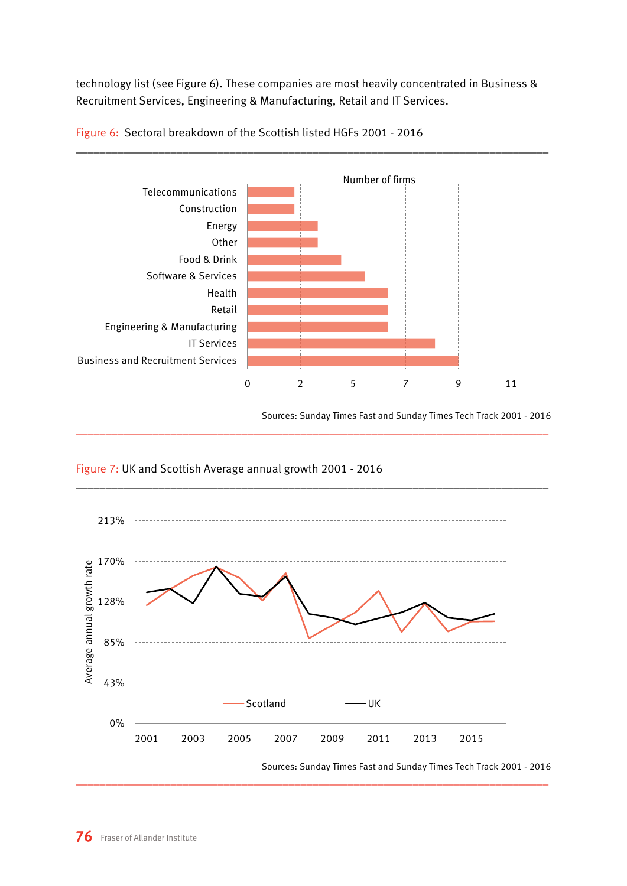technology list (see Figure 6). These companies are most heavily concentrated in Business & Recruitment Services, Engineering & Manufacturing, Retail and IT Services.



\_\_\_\_\_\_\_\_\_\_\_\_\_\_\_\_\_\_\_\_\_\_\_\_\_\_\_\_\_\_\_\_\_\_\_\_\_\_\_\_\_\_\_\_\_\_\_\_\_\_\_\_\_\_\_\_\_\_\_\_\_\_\_\_\_\_\_\_\_\_\_\_\_\_\_\_\_\_\_\_

Figure 6: Sectoral breakdown of the Scottish listed HGFs 2001 - 2016

Sources: Sunday Times Fast and Sunday Times Tech Track 2001 - 2016



#### Figure 7: UK and Scottish Average annual growth 2001 - 2016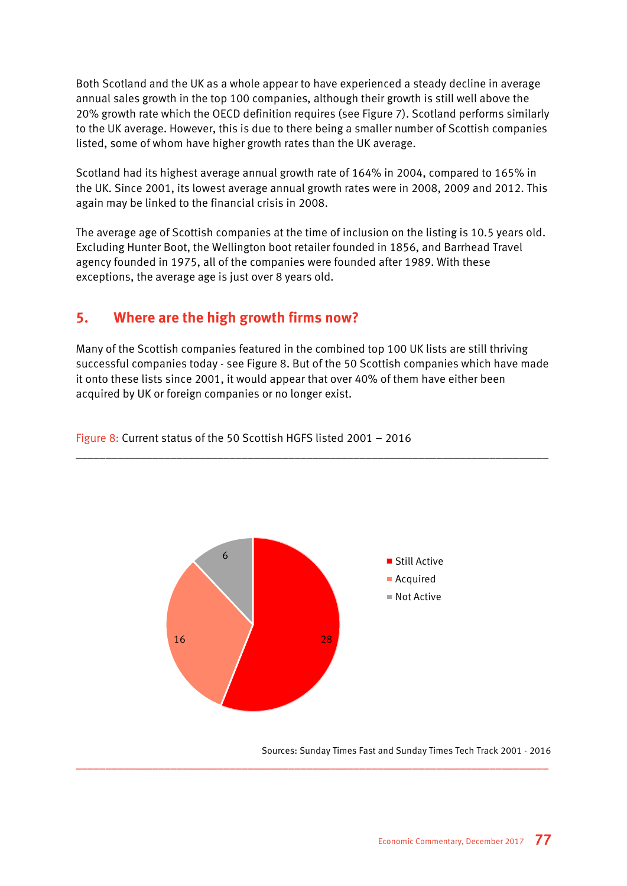Both Scotland and the UK as a whole appear to have experienced a steady decline in average annual sales growth in the top 100 companies, although their growth is still well above the 20% growth rate which the OECD definition requires (see Figure 7). Scotland performs similarly to the UK average. However, this is due to there being a smaller number of Scottish companies listed, some of whom have higher growth rates than the UK average.

Scotland had its highest average annual growth rate of 164% in 2004, compared to 165% in the UK. Since 2001, its lowest average annual growth rates were in 2008, 2009 and 2012. This again may be linked to the financial crisis in 2008.

The average age of Scottish companies at the time of inclusion on the listing is 10.5 years old. Excluding Hunter Boot, the Wellington boot retailer founded in 1856, and Barrhead Travel agency founded in 1975, all of the companies were founded after 1989. With these exceptions, the average age is just over 8 years old.

#### **5. Where are the high growth firms now?**

Many of the Scottish companies featured in the combined top 100 UK lists are still thriving successful companies today - see Figure 8. But of the 50 Scottish companies which have made it onto these lists since 2001, it would appear that over 40% of them have either been acquired by UK or foreign companies or no longer exist.

\_\_\_\_\_\_\_\_\_\_\_\_\_\_\_\_\_\_\_\_\_\_\_\_\_\_\_\_\_\_\_\_\_\_\_\_\_\_\_\_\_\_\_\_\_\_\_\_\_\_\_\_\_\_\_\_\_\_\_\_\_\_\_\_\_\_\_\_\_\_\_\_\_\_\_\_\_\_\_\_



\_\_\_\_\_\_\_\_\_\_\_\_\_\_\_\_\_\_\_\_\_\_\_\_\_\_\_\_\_\_\_\_\_\_\_\_\_\_\_\_\_\_\_\_\_\_\_\_\_\_\_\_\_\_\_\_\_\_\_\_\_\_\_\_\_\_\_\_\_\_\_\_\_\_\_\_\_\_\_\_

Figure 8: Current status of the 50 Scottish HGFS listed 2001 – 2016

Sources: Sunday Times Fast and Sunday Times Tech Track 2001 - 2016